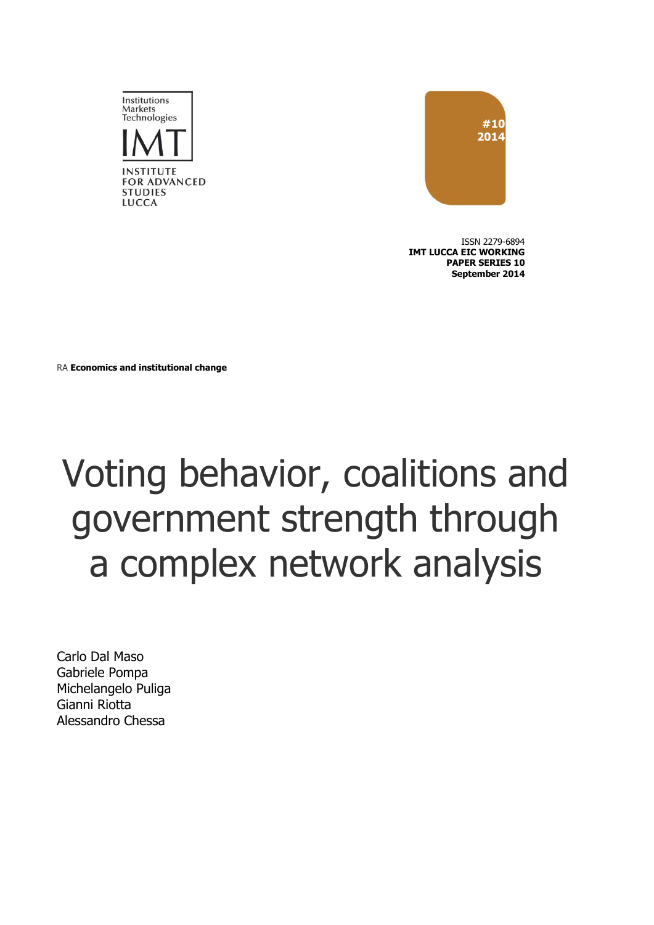



ISSN 2279-6894 **IMT LUCCA EIC WORKING PAPER SERIES 10 September 2014**

RA **Economics and institutional change**

# Voting behavior, coalitions and government strength through a complex network analysis

Carlo Dal Maso Gabriele Pompa Michelangelo Puliga Gianni Riotta Alessandro Chessa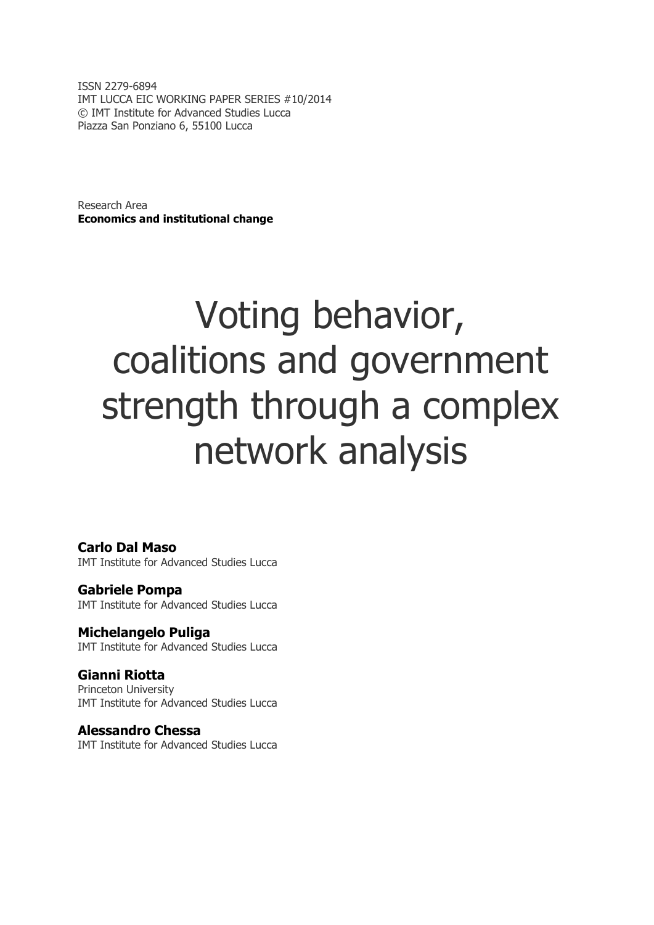ISSN 2279-6894 IMT LUCCA EIC WORKING PAPER SERIES #10/2014 © IMT Institute for Advanced Studies Lucca Piazza San Ponziano 6, 55100 Lucca

Research Area **Economics and institutional change**

# Voting behavior, coalitions and government strength through a complex network analysis

**Carlo Dal Maso;** IMT Institute for Advanced Studies Lucca

**Gabriele Pompa** IMT Institute for Advanced Studies Lucca

**Michelangelo Puliga** IMT Institute for Advanced Studies Lucca

**Gianni Riotta** Princeton University IMT Institute for Advanced Studies Lucca

**Alessandro Chessa** IMT Institute for Advanced Studies Lucca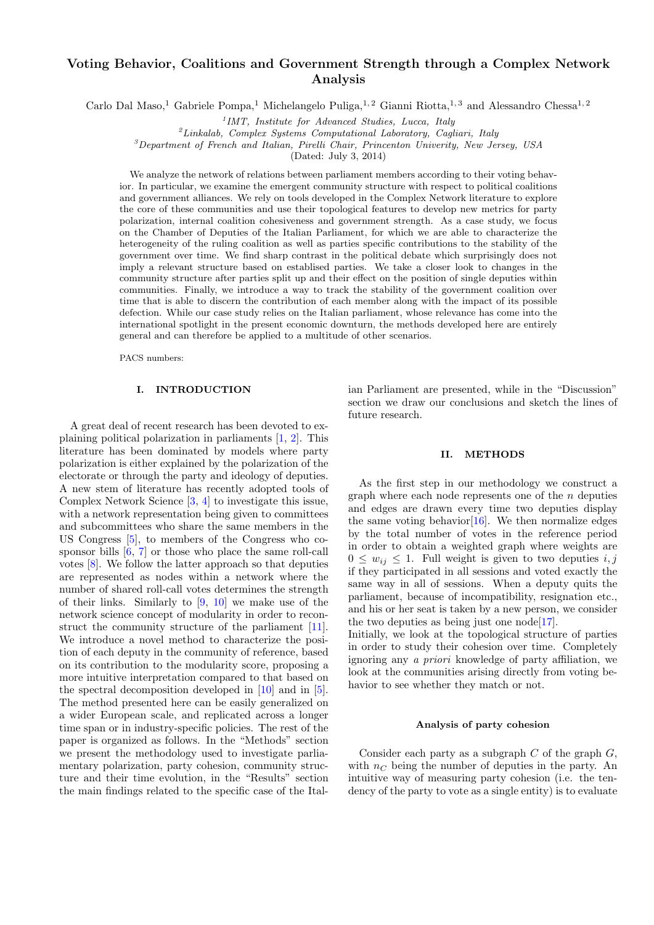## Voting Behavior, Coalitions and Government Strength through a Complex Network Analysis

Carlo Dal Maso,<sup>1</sup> Gabriele Pompa,<sup>1</sup> Michelangelo Puliga,<sup>1, 2</sup> Gianni Riotta,<sup>1, 3</sup> and Alessandro Chessa<sup>1, 2</sup>

 ${}^{2}$ Linkalab, Complex Systems Computational Laboratory, Cagliari, Italy

 ${}^{3}$ Department of French and Italian, Pirelli Chair, Princenton Univerity, New Jersey, USA

(Dated: July 3, 2014)

We analyze the network of relations between parliament members according to their voting behavior. In particular, we examine the emergent community structure with respect to political coalitions and government alliances. We rely on tools developed in the Complex Network literature to explore the core of these communities and use their topological features to develop new metrics for party polarization, internal coalition cohesiveness and government strength. As a case study, we focus on the Chamber of Deputies of the Italian Parliament, for which we are able to characterize the heterogeneity of the ruling coalition as well as parties specific contributions to the stability of the government over time. We find sharp contrast in the political debate which surprisingly does not imply a relevant structure based on establised parties. We take a closer look to changes in the community structure after parties split up and their effect on the position of single deputies within communities. Finally, we introduce a way to track the stability of the government coalition over time that is able to discern the contribution of each member along with the impact of its possible defection. While our case study relies on the Italian parliament, whose relevance has come into the international spotlight in the present economic downturn, the methods developed here are entirely general and can therefore be applied to a multitude of other scenarios.

PACS numbers:

### I. INTRODUCTION

A great deal of recent research has been devoted to explaining political polarization in parliaments [\[1,](#page-7-0) [2\]](#page-7-1). This literature has been dominated by models where party polarization is either explained by the polarization of the electorate or through the party and ideology of deputies. A new stem of literature has recently adopted tools of Complex Network Science [\[3,](#page-7-2) [4\]](#page-7-3) to investigate this issue, with a network representation being given to committees and subcommittees who share the same members in the US Congress [\[5\]](#page-7-4), to members of the Congress who cosponsor bills [\[6,](#page-7-5) [7\]](#page-7-6) or those who place the same roll-call votes [\[8\]](#page-7-7). We follow the latter approach so that deputies are represented as nodes within a network where the number of shared roll-call votes determines the strength of their links. Similarly to [\[9,](#page-7-8) [10\]](#page-7-9) we make use of the network science concept of modularity in order to reconstruct the community structure of the parliament [\[11\]](#page-7-10). We introduce a novel method to characterize the position of each deputy in the community of reference, based on its contribution to the modularity score, proposing a more intuitive interpretation compared to that based on the spectral decomposition developed in [\[10\]](#page-7-9) and in [\[5\]](#page-7-4). The method presented here can be easily generalized on a wider European scale, and replicated across a longer time span or in industry-specific policies. The rest of the paper is organized as follows. In the "Methods" section we present the methodology used to investigate parliamentary polarization, party cohesion, community structure and their time evolution, in the "Results" section the main findings related to the specific case of the Italian Parliament are presented, while in the "Discussion" section we draw our conclusions and sketch the lines of future research.

#### II. METHODS

As the first step in our methodology we construct a graph where each node represents one of the  $n$  deputies and edges are drawn every time two deputies display the same voting behavior  $[16]$ . We then normalize edges by the total number of votes in the reference period in order to obtain a weighted graph where weights are  $0 \leq w_{ij} \leq 1$ . Full weight is given to two deputies i, j if they participated in all sessions and voted exactly the same way in all of sessions. When a deputy quits the parliament, because of incompatibility, resignation etc., and his or her seat is taken by a new person, we consider the two deputies as being just one node  $[17]$ .

Initially, we look at the topological structure of parties in order to study their cohesion over time. Completely ignoring any a priori knowledge of party affiliation, we look at the communities arising directly from voting behavior to see whether they match or not.

#### Analysis of party cohesion

Consider each party as a subgraph  $C$  of the graph  $G$ , with  $n<sub>C</sub>$  being the number of deputies in the party. An intuitive way of measuring party cohesion (i.e. the tendency of the party to vote as a single entity) is to evaluate

<sup>&</sup>lt;sup>1</sup> IMT, Institute for Advanced Studies, Lucca, Italy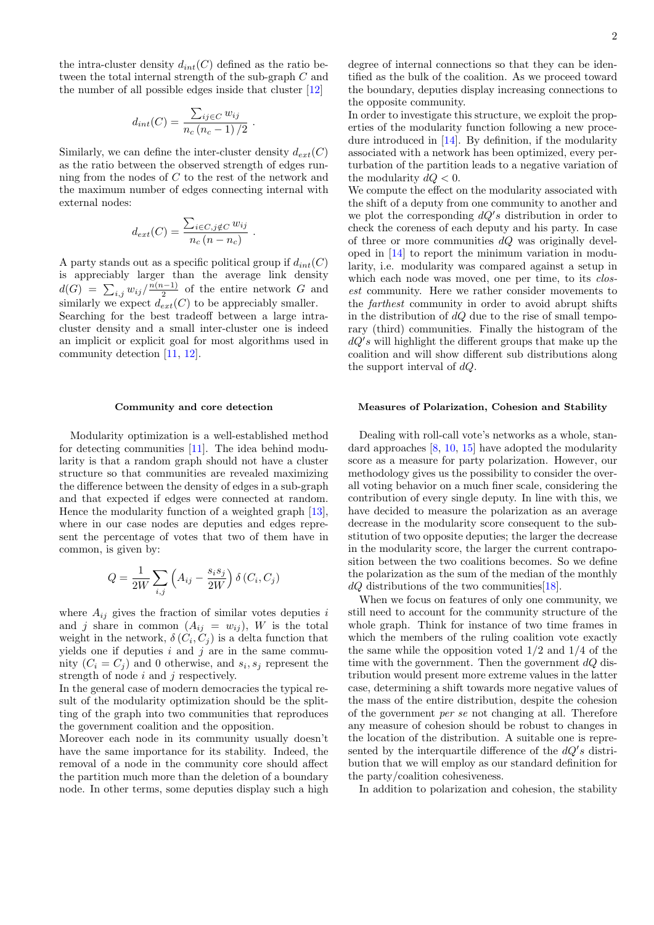the intra-cluster density  $d_{int}(C)$  defined as the ratio between the total internal strength of the sub-graph C and the number of all possible edges inside that cluster [\[12\]](#page-7-13)

$$
d_{int}(C) = \frac{\sum_{ij \in C} w_{ij}}{n_c (n_c - 1)/2}
$$

.

.

Similarly, we can define the inter-cluster density  $d_{ext}(C)$ as the ratio between the observed strength of edges running from the nodes of C to the rest of the network and the maximum number of edges connecting internal with external nodes:

$$
d_{ext}(C) = \frac{\sum_{i \in C, j \notin C} w_{ij}}{n_c (n - n_c)}
$$

A party stands out as a specific political group if  $d_{int}(C)$ is appreciably larger than the average link density  $d(G) = \sum_{i,j} w_{ij} / \frac{n(n-1)}{2}$  $\frac{i-1}{2}$  of the entire network G and similarly we expect  $d_{ext}(C)$  to be appreciably smaller. Searching for the best tradeoff between a large intracluster density and a small inter-cluster one is indeed an implicit or explicit goal for most algorithms used in community detection [\[11,](#page-7-10) [12\]](#page-7-13).

#### Community and core detection

Modularity optimization is a well-established method for detecting communities [\[11\]](#page-7-10). The idea behind modularity is that a random graph should not have a cluster structure so that communities are revealed maximizing the difference between the density of edges in a sub-graph and that expected if edges were connected at random. Hence the modularity function of a weighted graph [\[13\]](#page-7-14), where in our case nodes are deputies and edges represent the percentage of votes that two of them have in common, is given by:

$$
Q = \frac{1}{2W} \sum_{i,j} \left( A_{ij} - \frac{s_i s_j}{2W} \right) \delta(C_i, C_j)
$$

where  $A_{ij}$  gives the fraction of similar votes deputies  $i$ and j share in common  $(A_{ij} = w_{ij})$ , W is the total weight in the network,  $\delta(C_i, C_j)$  is a delta function that yields one if deputies  $i$  and  $j$  are in the same community  $(C_i = C_j)$  and 0 otherwise, and  $s_i, s_j$  represent the strength of node  $i$  and  $j$  respectively.

In the general case of modern democracies the typical result of the modularity optimization should be the splitting of the graph into two communities that reproduces the government coalition and the opposition.

Moreover each node in its community usually doesn't have the same importance for its stability. Indeed, the removal of a node in the community core should affect the partition much more than the deletion of a boundary node. In other terms, some deputies display such a high

degree of internal connections so that they can be identified as the bulk of the coalition. As we proceed toward the boundary, deputies display increasing connections to the opposite community.

In order to investigate this structure, we exploit the properties of the modularity function following a new procedure introduced in [\[14\]](#page-7-15). By definition, if the modularity associated with a network has been optimized, every perturbation of the partition leads to a negative variation of the modularity  $dQ < 0$ .

We compute the effect on the modularity associated with the shift of a deputy from one community to another and we plot the corresponding  $dQ's$  distribution in order to check the coreness of each deputy and his party. In case of three or more communities  $dQ$  was originally developed in [\[14\]](#page-7-15) to report the minimum variation in modularity, i.e. modularity was compared against a setup in which each node was moved, one per time, to its *clos*est community. Here we rather consider movements to the farthest community in order to avoid abrupt shifts in the distribution of  $dQ$  due to the rise of small temporary (third) communities. Finally the histogram of the  $dQ's$  will highlight the different groups that make up the coalition and will show different sub distributions along the support interval of  $dQ$ .

### Measures of Polarization, Cohesion and Stability

Dealing with roll-call vote's networks as a whole, standard approaches  $[8, 10, 15]$  $[8, 10, 15]$  $[8, 10, 15]$  $[8, 10, 15]$  $[8, 10, 15]$  have adopted the modularity score as a measure for party polarization. However, our methodology gives us the possibility to consider the overall voting behavior on a much finer scale, considering the contribution of every single deputy. In line with this, we have decided to measure the polarization as an average decrease in the modularity score consequent to the substitution of two opposite deputies; the larger the decrease in the modularity score, the larger the current contraposition between the two coalitions becomes. So we define the polarization as the sum of the median of the monthly  $dQ$  distributions of the two communities [\[18\]](#page-7-17).

When we focus on features of only one community, we still need to account for the community structure of the whole graph. Think for instance of two time frames in which the members of the ruling coalition vote exactly the same while the opposition voted  $1/2$  and  $1/4$  of the time with the government. Then the government  $dQ$  distribution would present more extreme values in the latter case, determining a shift towards more negative values of the mass of the entire distribution, despite the cohesion of the government per se not changing at all. Therefore any measure of cohesion should be robust to changes in the location of the distribution. A suitable one is represented by the interquartile difference of the  $dQ's$  distribution that we will employ as our standard definition for the party/coalition cohesiveness.

In addition to polarization and cohesion, the stability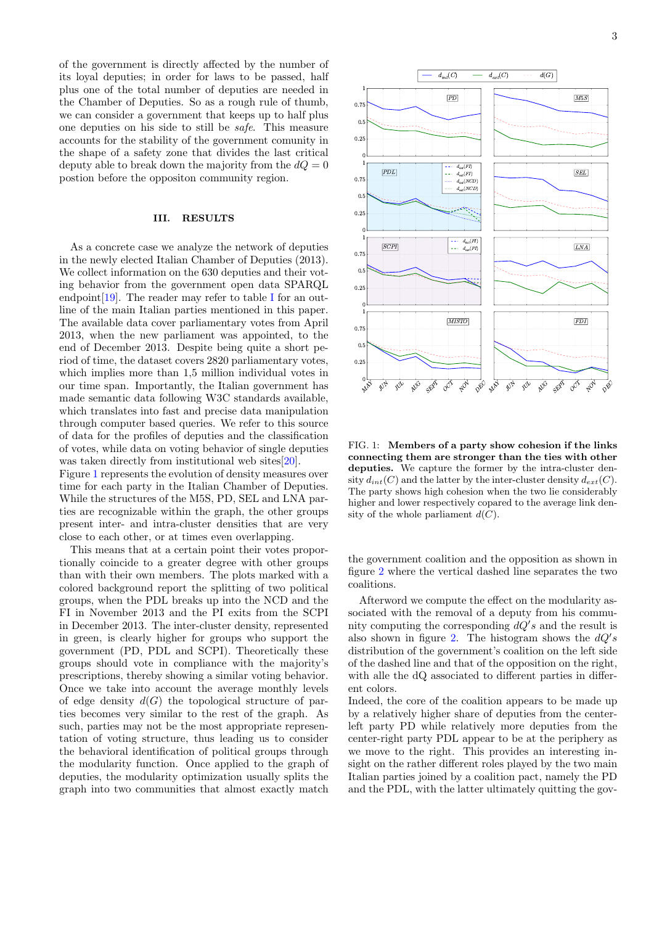of the government is directly affected by the number of its loyal deputies; in order for laws to be passed, half plus one of the total number of deputies are needed in the Chamber of Deputies. So as a rough rule of thumb, we can consider a government that keeps up to half plus one deputies on his side to still be safe. This measure accounts for the stability of the government comunity in the shape of a safety zone that divides the last critical deputy able to break down the majority from the  $dQ = 0$ postion before the oppositon community region.

#### III. RESULTS

As a concrete case we analyze the network of deputies in the newly elected Italian Chamber of Deputies (2013). We collect information on the 630 deputies and their voting behavior from the government open data SPARQL endpoint [\[19\]](#page-7-18). The reader may refer to table [I](#page-7-19) for an outline of the main Italian parties mentioned in this paper. The available data cover parliamentary votes from April 2013, when the new parliament was appointed, to the end of December 2013. Despite being quite a short period of time, the dataset covers 2820 parliamentary votes, which implies more than 1.5 million individual votes in our time span. Importantly, the Italian government has made semantic data following W3C standards available, which translates into fast and precise data manipulation through computer based queries. We refer to this source of data for the profiles of deputies and the classification of votes, while data on voting behavior of single deputies was taken directly from institutional web sites[\[20\]](#page-7-20).

Figure [1](#page-4-0) represents the evolution of density measures over time for each party in the Italian Chamber of Deputies. While the structures of the M5S, PD, SEL and LNA parties are recognizable within the graph, the other groups present inter- and intra-cluster densities that are very close to each other, or at times even overlapping.

This means that at a certain point their votes proportionally coincide to a greater degree with other groups than with their own members. The plots marked with a colored background report the splitting of two political groups, when the PDL breaks up into the NCD and the FI in November 2013 and the PI exits from the SCPI in December 2013. The inter-cluster density, represented in green, is clearly higher for groups who support the government (PD, PDL and SCPI). Theoretically these groups should vote in compliance with the majority's prescriptions, thereby showing a similar voting behavior. Once we take into account the average monthly levels of edge density  $d(G)$  the topological structure of parties becomes very similar to the rest of the graph. As such, parties may not be the most appropriate representation of voting structure, thus leading us to consider the behavioral identification of political groups through the modularity function. Once applied to the graph of deputies, the modularity optimization usually splits the graph into two communities that almost exactly match



<span id="page-4-0"></span>FIG. 1: Members of a party show cohesion if the links connecting them are stronger than the ties with other deputies. We capture the former by the intra-cluster density  $d_{int}(C)$  and the latter by the inter-cluster density  $d_{ext}(C)$ . The party shows high cohesion when the two lie considerably higher and lower respectively copared to the average link density of the whole parliament  $d(C)$ .

the government coalition and the opposition as shown in figure [2](#page-5-0) where the vertical dashed line separates the two coalitions.

Afterword we compute the effect on the modularity associated with the removal of a deputy from his community computing the corresponding  $dQ's$  and the result is also shown in figure [2.](#page-5-0) The histogram shows the  $dQ's$ distribution of the government's coalition on the left side of the dashed line and that of the opposition on the right, with alle the dQ associated to different parties in different colors.

Indeed, the core of the coalition appears to be made up by a relatively higher share of deputies from the centerleft party PD while relatively more deputies from the center-right party PDL appear to be at the periphery as we move to the right. This provides an interesting insight on the rather different roles played by the two main Italian parties joined by a coalition pact, namely the PD and the PDL, with the latter ultimately quitting the gov-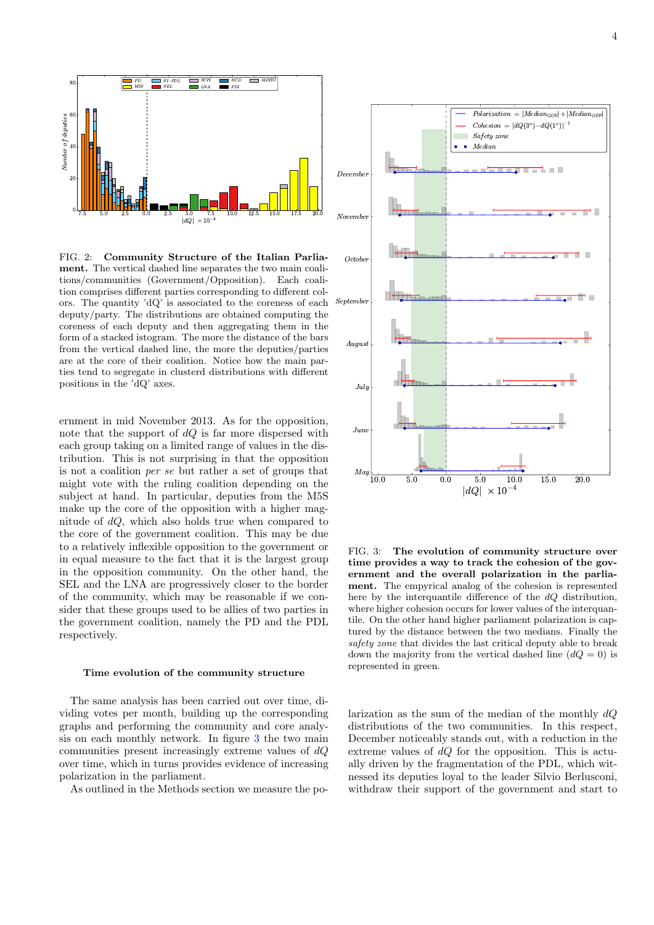

<span id="page-5-0"></span>FIG. 2: Community Structure of the Italian Parliament. The vertical dashed line separates the two main coalitions/communities (Government/Opposition). Each coalition comprises different parties corresponding to different colors. The quantity 'dQ' is associated to the coreness of each deputy/party. The distributions are obtained computing the coreness of each deputy and then aggregating them in the form of a stacked istogram. The more the distance of the bars from the vertical dashed line, the more the deputies/parties are at the core of their coalition. Notice how the main parties tend to segregate in clusterd distributions with different positions in the 'dQ' axes.

ernment in mid November 2013. As for the opposition, note that the support of  $dQ$  is far more dispersed with each group taking on a limited range of values in the distribution. This is not surprising in that the opposition is not a coalition per se but rather a set of groups that might vote with the ruling coalition depending on the subject at hand. In particular, deputies from the M5S make up the core of the opposition with a higher magnitude of dQ, which also holds true when compared to the core of the government coalition. This may be due to a relatively inflexible opposition to the government or in equal measure to the fact that it is the largest group in the opposition community. On the other hand, the SEL and the LNA are progressively closer to the border of the community, which may be reasonable if we consider that these groups used to be allies of two parties in the government coalition, namely the PD and the PDL respectively.

#### Time evolution of the community structure

The same analysis has been carried out over time, dividing votes per month, building up the corresponding graphs and performing the community and core analysis on each monthly network. In figure [3](#page-5-1) the two main communities present increasingly extreme values of dQ over time, which in turns provides evidence of increasing polarization in the parliament.

As outlined in the Methods section we measure the po-



<span id="page-5-1"></span>FIG. 3: The evolution of community structure over time provides a way to track the cohesion of the government and the overall polarization in the parliament. The empyrical analog of the cohesion is represented here by the interquantile difference of the  $dQ$  distribution, where higher cohesion occurs for lower values of the interquantile. On the other hand higher parliament polarization is captured by the distance between the two medians. Finally the safety zone that divides the last critical deputy able to break down the majority from the vertical dashed line  $(dQ = 0)$  is represented in green.

larization as the sum of the median of the monthly  $dQ$ distributions of the two communities. In this respect, December noticeably stands out, with a reduction in the extreme values of  $dQ$  for the opposition. This is actually driven by the fragmentation of the PDL, which witnessed its deputies loyal to the leader Silvio Berlusconi, withdraw their support of the government and start to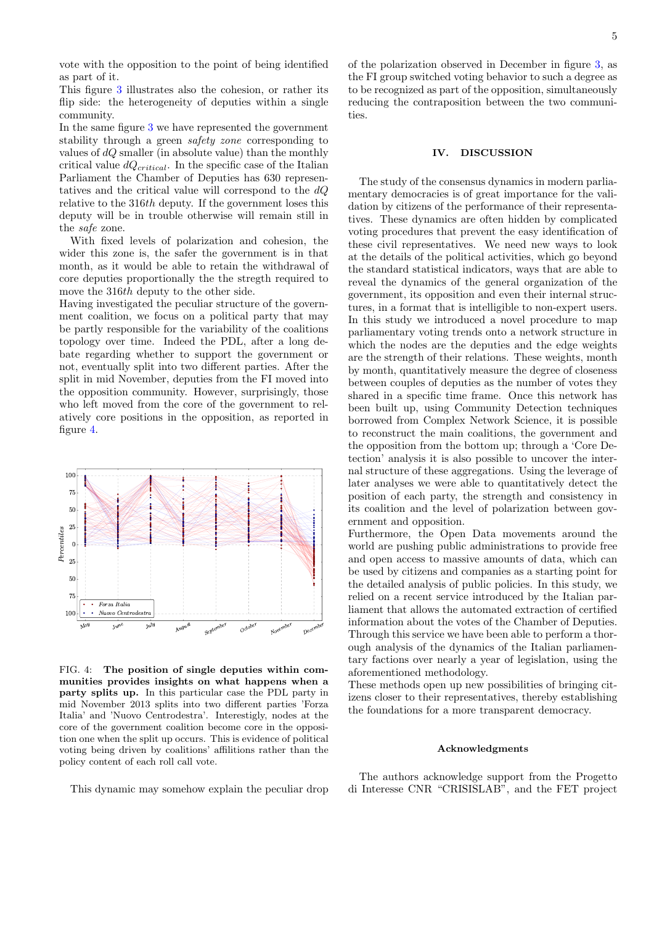vote with the opposition to the point of being identified as part of it.

This figure [3](#page-5-1) illustrates also the cohesion, or rather its flip side: the heterogeneity of deputies within a single community.

In the same figure [3](#page-5-1) we have represented the government stability through a green safety zone corresponding to values of  $dQ$  smaller (in absolute value) than the monthly critical value  $dQ_{critical}$ . In the specific case of the Italian Parliament the Chamber of Deputies has 630 representatives and the critical value will correspond to the  $dQ$ relative to the 316th deputy. If the government loses this deputy will be in trouble otherwise will remain still in the safe zone.

With fixed levels of polarization and cohesion, the wider this zone is, the safer the government is in that month, as it would be able to retain the withdrawal of core deputies proportionally the the stregth required to move the 316th deputy to the other side.

Having investigated the peculiar structure of the government coalition, we focus on a political party that may be partly responsible for the variability of the coalitions topology over time. Indeed the PDL, after a long debate regarding whether to support the government or not, eventually split into two different parties. After the split in mid November, deputies from the FI moved into the opposition community. However, surprisingly, those who left moved from the core of the government to relatively core positions in the opposition, as reported in figure [4.](#page-6-0)



<span id="page-6-0"></span>FIG. 4: The position of single deputies within communities provides insights on what happens when a party splits up. In this particular case the PDL party in mid November 2013 splits into two different parties 'Forza Italia' and 'Nuovo Centrodestra'. Interestigly, nodes at the core of the government coalition become core in the opposition one when the split up occurs. This is evidence of political voting being driven by coalitions' affilitions rather than the policy content of each roll call vote.

This dynamic may somehow explain the peculiar drop

of the polarization observed in December in figure [3,](#page-5-1) as the FI group switched voting behavior to such a degree as to be recognized as part of the opposition, simultaneously reducing the contraposition between the two communities.

#### IV. DISCUSSION

The study of the consensus dynamics in modern parliamentary democracies is of great importance for the validation by citizens of the performance of their representatives. These dynamics are often hidden by complicated voting procedures that prevent the easy identification of these civil representatives. We need new ways to look at the details of the political activities, which go beyond the standard statistical indicators, ways that are able to reveal the dynamics of the general organization of the government, its opposition and even their internal structures, in a format that is intelligible to non-expert users. In this study we introduced a novel procedure to map parliamentary voting trends onto a network structure in which the nodes are the deputies and the edge weights are the strength of their relations. These weights, month by month, quantitatively measure the degree of closeness between couples of deputies as the number of votes they shared in a specific time frame. Once this network has been built up, using Community Detection techniques borrowed from Complex Network Science, it is possible to reconstruct the main coalitions, the government and the opposition from the bottom up; through a 'Core Detection' analysis it is also possible to uncover the internal structure of these aggregations. Using the leverage of later analyses we were able to quantitatively detect the position of each party, the strength and consistency in its coalition and the level of polarization between government and opposition.

Furthermore, the Open Data movements around the world are pushing public administrations to provide free and open access to massive amounts of data, which can be used by citizens and companies as a starting point for the detailed analysis of public policies. In this study, we relied on a recent service introduced by the Italian parliament that allows the automated extraction of certified information about the votes of the Chamber of Deputies. Through this service we have been able to perform a thorough analysis of the dynamics of the Italian parliamentary factions over nearly a year of legislation, using the aforementioned methodology.

These methods open up new possibilities of bringing citizens closer to their representatives, thereby establishing the foundations for a more transparent democracy.

#### Acknowledgments

The authors acknowledge support from the Progetto di Interesse CNR "CRISISLAB", and the FET project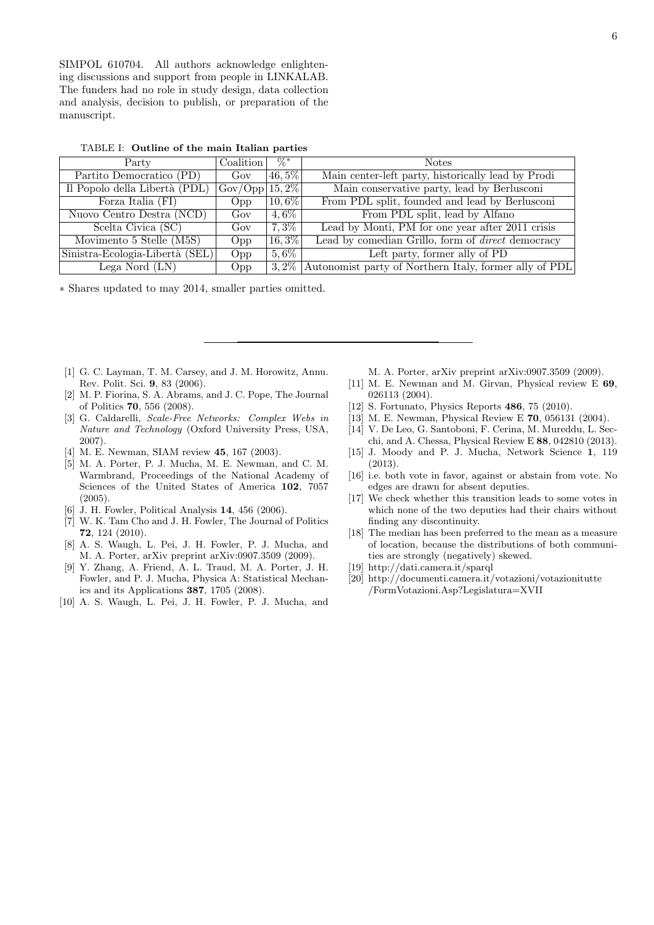SIMPOL 610704. All authors acknowledge enlightening discussions and support from people in LINKALAB. The funders had no role in study design, data collection and analysis, decision to publish, or preparation of the manuscript.

| Party                           | Coalition                                        | $\%^{*}$ | <b>Notes</b>                                             |
|---------------------------------|--------------------------------------------------|----------|----------------------------------------------------------|
| Partito Democratico (PD)        | Gov                                              | $46,5\%$ | Main center-left party, historically lead by Prodi       |
| Il Popolo della Libertà (PDL)   | $\lfloor \text{Gov} / \text{Opp} \rfloor$ 15, 2% |          | Main conservative party, lead by Berlusconi              |
| Forza Italia $(FI)$             | Opp.                                             | $10,6\%$ | From PDL split, founded and lead by Berlusconi           |
| Nuovo Centro Destra (NCD)       | Gov                                              | $4,6\%$  | From PDL split, lead by Alfano                           |
| Scelta Civica (SC)              | Gov                                              | $7,3\%$  | Lead by Monti, PM for one year after $2011$ crisis       |
| Movimento 5 Stelle (M5S)        | Opp                                              | $16,3\%$ | Lead by comedian Grillo, form of <i>direct</i> democracy |
| Sinistra-Ecologia-Libertà (SEL) | Opp                                              | $5,6\%$  | Left party, former ally of PD                            |
| $Lega$ Nord $(LN)$              | Opp                                              | $3,2\%$  | Autonomist party of Northern Italy, former ally of PDL   |

<span id="page-7-19"></span>TABLE I: Outline of the main Italian parties

∗ Shares updated to may 2014, smaller parties omitted.

- <span id="page-7-0"></span>[1] G. C. Layman, T. M. Carsey, and J. M. Horowitz, Annu. Rev. Polit. Sci. 9, 83 (2006).
- <span id="page-7-1"></span>[2] M. P. Fiorina, S. A. Abrams, and J. C. Pope, The Journal of Politics 70, 556 (2008).
- <span id="page-7-2"></span>[3] G. Caldarelli, Scale-Free Networks: Complex Webs in Nature and Technology (Oxford University Press, USA, 2007).
- <span id="page-7-3"></span>[4] M. E. Newman, SIAM review 45, 167 (2003).
- <span id="page-7-4"></span>[5] M. A. Porter, P. J. Mucha, M. E. Newman, and C. M. Warmbrand, Proceedings of the National Academy of Sciences of the United States of America 102, 7057 (2005).
- <span id="page-7-5"></span>[6] J. H. Fowler, Political Analysis 14, 456 (2006).
- <span id="page-7-6"></span>[7] W. K. Tam Cho and J. H. Fowler, The Journal of Politics 72, 124 (2010).
- <span id="page-7-7"></span>[8] A. S. Waugh, L. Pei, J. H. Fowler, P. J. Mucha, and M. A. Porter, arXiv preprint arXiv:0907.3509 (2009).
- <span id="page-7-8"></span>[9] Y. Zhang, A. Friend, A. L. Traud, M. A. Porter, J. H. Fowler, and P. J. Mucha, Physica A: Statistical Mechanics and its Applications 387, 1705 (2008).
- <span id="page-7-9"></span>[10] A. S. Waugh, L. Pei, J. H. Fowler, P. J. Mucha, and
- M. A. Porter, arXiv preprint arXiv:0907.3509 (2009).
- <span id="page-7-10"></span>[11] M. E. Newman and M. Girvan, Physical review E 69, 026113 (2004).
- <span id="page-7-13"></span>[12] S. Fortunato, Physics Reports 486, 75 (2010).
- <span id="page-7-14"></span>[13] M. E. Newman, Physical Review E 70, 056131 (2004).
- <span id="page-7-15"></span>[14] V. De Leo, G. Santoboni, F. Cerina, M. Mureddu, L. Secchi, and A. Chessa, Physical Review E 88, 042810 (2013).
- <span id="page-7-16"></span>[15] J. Moody and P. J. Mucha, Network Science 1, 119 (2013).
- <span id="page-7-11"></span>[16] i.e. both vote in favor, against or abstain from vote. No edges are drawn for absent deputies.
- <span id="page-7-12"></span>[17] We check whether this transition leads to some votes in which none of the two deputies had their chairs without finding any discontinuity.
- <span id="page-7-17"></span>[18] The median has been preferred to the mean as a measure of location, because the distributions of both communities are strongly (negatively) skewed.
- <span id="page-7-18"></span>[19] http://dati.camera.it/sparql
- <span id="page-7-20"></span>[20] http://documenti.camera.it/votazioni/votazionitutte /FormVotazioni.Asp?Legislatura=XVII